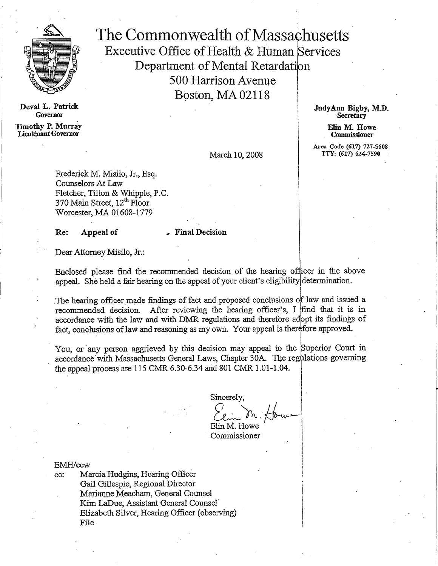

Deval L. Patrick **Governor** 

Timothy P. Murray Lieutenant Governor

The Commonwealth of Massachusetts Executive Office of Health & Human Services Department of Mental Retardation 500 Harrison Avenue Boston, MA 02118

> JudyAnn Bigby, M.D. **Secretary**

> > Elin M. Howe Commissioner

Area Code (617) 727-5608 TTY: (617) 624-7590

March 10, 2008

Frederick M. Misilo, Jr., Esq. Counselors At Law Fletcher, Tilton & Whipple, P.C. 370 Main Street, 12<sup>th</sup> Floor Worcester, MA 01608-1779

Re: Appeal of Final Decision

Dear Attorney Misilo, Jr.:

Enclosed please find the recommended decision of the hearing officer in the above appeal. She held a fair hearing on the appeal of your client's eligibility determination.

The hearing officer made findings of fact and proposed conclusions of law and issued a recommended decision. After reviewing the hearing officer's, I find that it is in accordance with the law and with DMR regulations and therefore adbpt its findings of fact, conclusions of law and reasoning as my own. Your appeal is therefore approved.

You, or any person aggrieved by this decision may appeal to the Superior Court in accordance' with Massachusetts General Laws, Chapter 30A. The regulations governing the appeal process are 115 CMR 6.30-6.34 and 801 CMR 1.01-1.04.

Sincerely,  $\bigvee_{\lambda}$ Elin M. Howe

Commissioner

EMH/ecw

cc: Marcia Hudgins, Hearing Officer Gail Gillespie, Regional Director Marianne Meacham, General Counsel Kim LaDue, Assistant General Counsel Elizabeth Silver, Hearing Officer (observing) File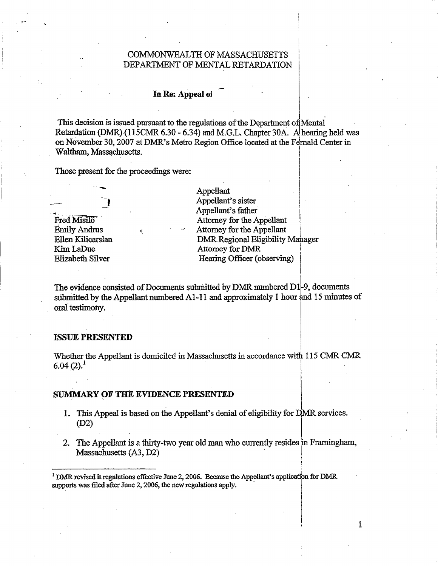# COMMONWEALTH OF MASSACHUSETTS DEPARTMENT OF MENTAL RETARDATION

## In Re: Appeal of

This decision is issued pursuant to the regulations of the Department of Mental. Retardation (DMR) (115CMR 6.30 - 6.34) and M.G.L. Chapter 30A. A hearing held was on November 30, 2007 at DMR's Metro Region Office located at the Fernald Center in . Waltham, Massachusetts.

Those present for the proceedings were:



Appellant Appellant's sister Appellant's father Attorney for the Appellant Attorney for the Appellant DMR Regional Eligibility Manager Attorney for DMR Hearing Officer (observing)

1

The evidence consisted of Documents submitted by DMR numbered D1-9, documents submitted by the Appellant numbered A1-11 and approximately 1 hour and 15 minutes of oral testimony.

#### ISSUE PRESENTED

Whether the Appellant is domiciled in Massachusetts in accordance with 115 CMR CMR  $6.04(2).<sup>1</sup>$ 

# SUMMARY OF THE EVIDENCE PRESENTED

- 1. This Appeal is based on the Appellant's denial of eligibility for DMR services. (D2)
- 2. The Appellant is a thirty-two year old man who currently resides in Framingham, Massachusetts (A3, D2)

<sup>&</sup>lt;sup>1</sup> DMR revised it regulations effective June 2, 2006. Because the Appellant's application for DMR **supports was filed after June 2, 2006, the new regulations apply.**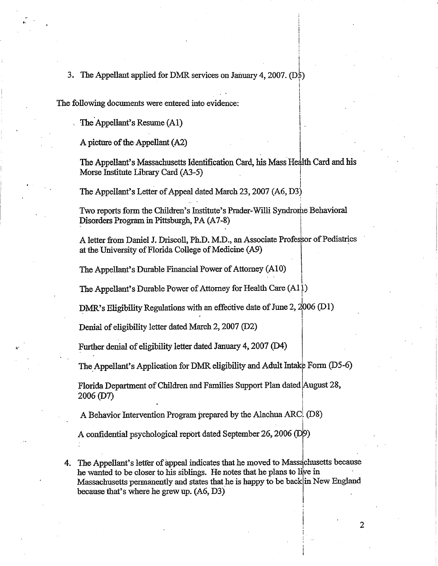# 3. The Appellant applied for DMR services on January 4, 2007. (DS)

The following documents were entered into evidence:

The Appellant's Resume (Al)

A picture of the Appellant (A2)

The Appellant's Massachusetts Identification Card, his Mass Health Card and his Morse Institute Library Card (A3-5)

The Appellant's Letter of Appeal dated March 23, 2007 (A6, D3)

Two reports form the Children's Institute's Prader-Willi Syndrome Behavioral Disorders Program in Pittsburgh, PA (A7-8)

A letter from Daniel J. Driscoll, Ph.D. M.D., an Associate Professor of Pediatrics at the University of Florida College of Medicine (A9)

The Appellant's Durable Financial Power of Attorney (A10)

The Appellant's Durable Power of Attorney for Health Care (All)

DMR's Eligibility Regulations with an effective date of June 2, 2006 (D1)

Denial of eligibility letter dated March 2, 2007 (D2)

Further denial of eligibility letter dated January 4, 2007 (D4)

The Appellant's Application for DMR eligibility and Adult Intake Form (D5-6)

Florida Department of Children and Families Support Plan dated August 28, 2006 (D7)

A Behavior Intervention Program prepared by the Alachua ARC! (D8)

A confidential psychological report dated September 26, 2006 (D9)

4. The Appellant's letter of appeal indicates that he moved to Massachusetts because he wanted to be closer to his siblings. He notes that he plans to live in Massachusetts permanently and states that he is happy to be back in New England because that's where he grew up. (A6, D3)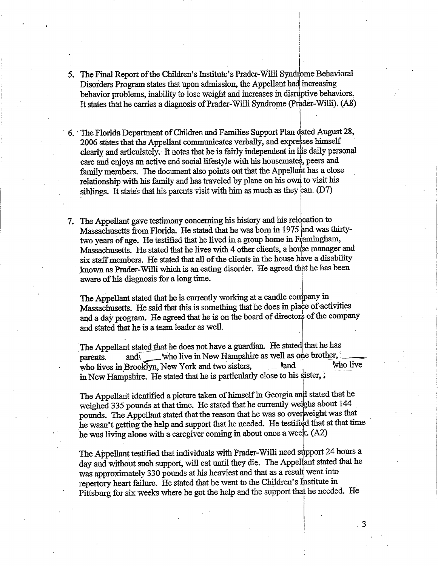- 5. The Final Report of the Children's Institute's Prader-Willi Syndrome Behavioral Disorders Program states that upon admission, the Appellant had increasing behavior problems, inability to lose weight and increases in disruptive behaviors. It states that he carries a diagnosis of Prader-Willi Syndrome (Prader-Willi). (A8)
- 6. The Florida Department of Children and Families Support Plan dated August 28, 2006 states that the Appellant communicates verbally, and expresses himself clearly and articulately. It notes that he is fairly independent in bis daily personal care and enjoys an active and social lifestyle with his housemates, peers and family members. The document also points out that the Appellart has a close relationship with his family and has traveled by plane on his own to visit his siblings. It states that his parents visit with him as much as they can.  $(D7)$
- 7. The Appellant gave testimony concerning his history and his relocation to Massachusetts from Florida. He stated that he was born in 1975 pnd was thirtytwo years of age. He testified that he lived in a group home in Framingham, Massachusetts. He stated that he lives with 4 other clients, a house manager and six staff members. He stated that all of the clients in the house have a disability known as Prader-Willi which is an eating disorder. He agreed that he has been aware of his diagnosis for a long time.

The Appellant stated that he is currently working at a candle company in Massachusetts. He said that this is something that he does in place of activities and a day program. He agreed that he is on the board of directors of the company and stated that he is a team leader as well.

The Appellant stated that he does not have a guardian. He stated that he has parents, and who live in New Hampshire as well as one brother, who live who lives in Brooklyn, New York and two sisters, and two lives in Brooklyn, New York and two sisters, in New Hampshire. He stated that he is particularly close to his sister,  $\frac{1}{2}$ 

The Appellant identified a picture taken of himself in Georgia and stated that he weighed 335 pounds at that time. He stated that he currently weighs about 144 pounds. The Appellant stated that the reason that he was so overweight was that he wasn't getting the help and support that he needed. He testified that at that time he was living alone with a caregiver coming in about once a week. (A2)

The Appellant testified that individuals with Prader-Willi need support 24 hours a day and without such support, will eat until they die. The Appellant stated that he was approximately 330 pounds at his heaviest and that as a result went into repertory heart failure. He stated that he went to the Children's linstitute in Pittsburg for six weeks where he got the help and the support that he needed. He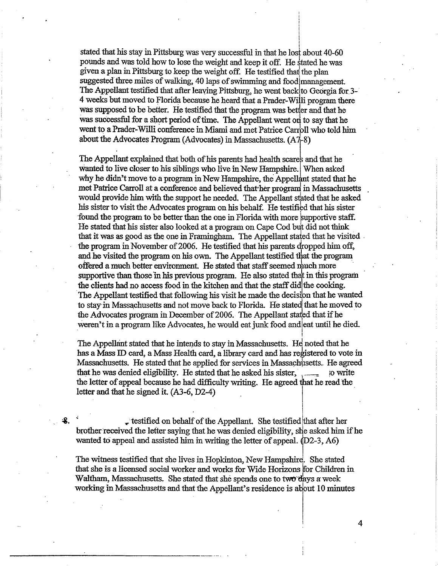stated that his stay in Pittsburg was very successful in that he lost about 40-60 pounds and was told how to lose the weight and keep it off. He stated he was given a plan in Pittsburg to keep the weight off. He testified that the plan suggested three miles of walking, 40 laps of swimming and food management. The Appellant testified that after leaving Pittsburg, he went back to Georgia for 3-4 weeks but moved to Florida because he heard that a Prader-Willi program there was supposed to be better. He testified that the program was better and that he was successful for a short period of time. The Appellant went on to say that he went to a Prader-Willi conference in Miami and met Patrice Carroll who told him about the Advocates Program (Advocates) in Massachusetts. (A7-8)

The Appellant explained that both of his parents had health scares and that he wanted to live closer to his siblings who live in New Hampshire. When asked why he didn't move to a program in New Hampshire, the Appellant stated that he met Patrice Carroll at a conference and believed thather program in Massachusetts , would provide him with the support he needed. The Appellant stated that he asked his sister to visit the Advocates program on his behalf. He testified that his sister found the program to be better than the one in Florida with more supportive staff. He stated that his sister also looked at a program on Cape Cod but did not think that it was as good as the one in Framingham. The Appellant stated that he visited . the program in November of 2006. He testified that his parents dropped him off, and he visited the program on his own. The Appellant testified that the program offered a much better environment. He stated that staff seemed much more supportive than those in his previous program. He also stated that in this program the clients had no access food in the kitchen and that the staff did the cooking. The Appellant testified that following his visit he made the decision that he wanted to stay-in Massachusetts and not move back to Florida. He stated that he moved to the Advocates program in December of 2006. The Appellant stated that if he weren't in a program like Advocates, he would eat junk food andleat until he died.

The Appellant stated that he intends to stay in Massachusetts. He noted that he has a Mass ID card, a Mass Health card, a library card and has registered to vote in Massachusetts. He stated that he applied for services in Massachusetts.. He agreed that he was denied eligibility. He stated that he asked his sister,  $\frac{1}{1-\frac{1}{1-\frac{1}{1-\frac{1}{1-\frac{1}{1-\frac{1}{1-\frac{1}{1-\frac{1}{1-\frac{1}{1-\frac{1}{1-\frac{1}{1-\frac{1}{1-\frac{1}{1-\frac{1}{1-\frac{1}{1-\frac{1}{1-\frac{1}{1-\frac{1}{1-\frac{1}{1-\frac{1}{1-\frac{1}{1-\frac{1}{1-\frac{1}{1-\frac{1}{1-\frac{1}{1-\frac{$ the letter of appeal because he had difficulty writing. He agreed that he read the letter and that he signed it. (A3-6, D2-4).

testified on behalf of the Appellant. She testified that after her brother received the letter saying that he was denied eligibility, she asked him if he wanted to appeal and assisted him in writing the letter of appeal.  $(D2-3, A6)$ 

The witness testified that she lives in Hopkinton, New Hampshire. She stated that she is a licensed social worker and works for Wide Horizons for Children in Waltham, Massachusetts. She stated that she spends one to two days a week working in Massachusetts and that the Appellant's residence is about 10 minutes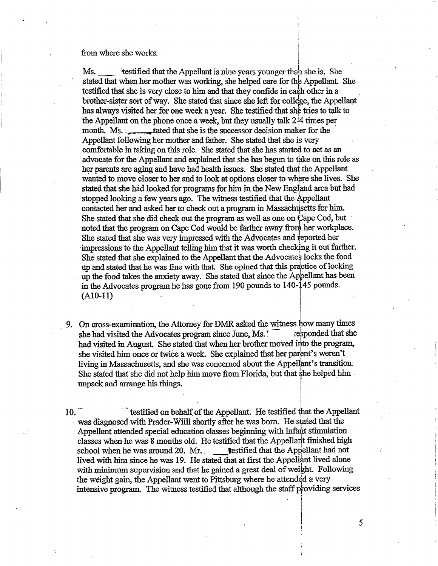from where she works.

Ms. 'testified that the Appellant is nine years younger than she is. She stated that when her mother was working, she helped care for the Appellant. She testified that she is very close to him and that they confide in each other in a brother-sister sort of way. She stated that since she left for college, the Appellant has always visited her for one week a year. She testified that she tries to talk to the Appellant on the phone once a week, but they usually talk 2-14 times per month. Ms. that she is the successor decision maker for the Appellant following her mother and father. She stated that she is very comfortable in taking on this role. She stated that she has started to act as an advocate for the Appellant and explained that she has begun to take on this role as her parents are aging and have had health issues. She stated that the Appellant wanted to move closer to her and to look at options closer to where she lives. She stated that she had looked for programs for him in the New England area but had stopped looking a few years ago. The witness testified that the Appellant contacted her and asked her to check out a program in Massachus etts for him. She stated that she did check out the program as well as one on Cape Cod, but noted that the program on Cape Cod would be farther away from her workplace. She stated that she was very impressed with the Advocates and reported her impressions to the Appellant telling him that it was worth checking it out further. She stated that she explained to the Appellant that the Advocates locks the food up and stated that he was fine with that. She opined that this practice of locking up the food takes the anxiety away. She stated that since the 'Appellant has been in the Advocates program he has gone from 190 pounds to 140-145 pounds. (A10-11)

9. On cross-examination, the Attorney for DMR asked the witness how many times she had visited the Advocates program since June. Ms. she had visited the Advocates program since June, Ms.' had visited in August. She stated that when her brother moved into the program, she visited him once or twice a week. She explained that her parent's weren't living in Massachusetts, and she was concerned about the Appellant's transition. She stated that she did not help him move from Florida, but that she helped him unpack and arrange his things.

10. The testified on behalf of the Appellant. He testified that the Appellant was diagnosed with Prader-Willi shortly after he was born. He stated that the Appellant attended special education classes beginning with infant stimulation classes when he was 8 months old. He testified that the Appellant finished high school when he was around 20. Mr. school when he was around 20. Mr.. lived with him since he was 19. He stated that at first the Appellant lived alone with minimum supervision and that he gained a great deal of weight. Following the weight gain, the Appellant went to Pittsburg where he attended a very intensive program. The witness testified that although the staff providing services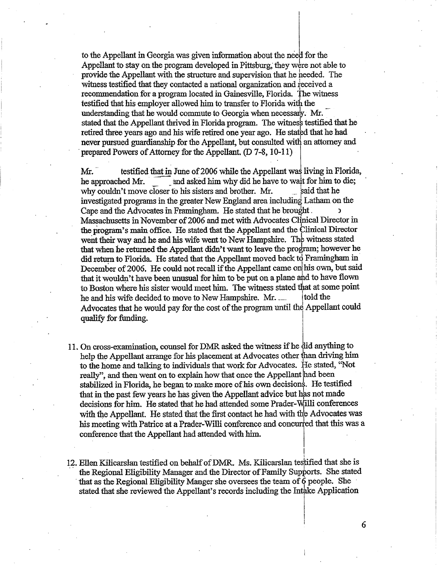to the Appellant in Georgia was given information about the need for the Appellant to stay on the program developed in Pittsburg; they were not able to provide the Appellant with the structure and supervision that he needed. The witness testified that they contacted a national organization and received a recommendation for a program located in Gainesville, Florida. The witness testified that his employer allowed him to transfer to Florida with the understanding that he would commute to Georgia when necessary. Mr. stated that the Appellant thrived in Florida program. The witness testified that he retired three years ago and his wife retired one year ago. He stated that he had never pursued guardianship for the Appellant, but consulted with an attorney and prepared Powers of Attorney for the Appellant. (D 7-8, 10-11)

Mr. testified that in June of 2006 while the Appellant was living in Florida, he approached Mr.  $\Box$  and asked him why did he have to wait for him to die; why couldn't move closer to his sisters and brother. Mr. said that he investigated programs in the greater New England area including Latham on the Cape and the Advocates in Framingham. He stated that he brought. Massachusetts in November of 2006 and met with Advocates Clinical Director in the program's main office. He stated that the Appellant and the Clinical Director went their way and he and his wife went to New Hampshire. The witness stated that when he returned the Appellant didn't want to leave the program; however he did return to Florida. He stated that the Appellant moved back to Framingham in December of 2006. He could not recall if the Appellant came on his own, but said that it wouldn't have been unusual for him to be put on a plane and to have flown to Boston where his sister would meet him. The witness stated that at some point he and his wife decided to move to New Hampshire. Mr. \_\_\_\_\_ (told the Advocates that he would pay for the cost of the program until the Appellant could qualify for funding.

- 11.On cross-examination, counsel for DMR asked the witness if he did anything to help the Appellant arrange for his placement at Advocates other than driving him to the home and talking to individuals that work for Advocates. He stated, "Not really", and then went on to explain how that once the Appellant had been stabilized in Florida, he began to make more of his own decisions. He testified that in the past few years he has given the Appellant advice but has not made decisions for him. He stated that he had attended some Prader-Willi conferences with the Appellant. He stated that the first contact he had with the Advocates was his meeting with Patrice at a Prader-Willi conference and concurred that this was a conference that the Appellant had attended with him
- 12. Ellen Kilicarslan testified on behalf of DMR. Ms. Kilicarslan testified that she is the Regional Eligibility Manager and the Director of Family Supports. She stated that as the Regional Eligibility Manger she oversees the team of 6 people. She stated that she reviewed the Appellant's records including the Intake Application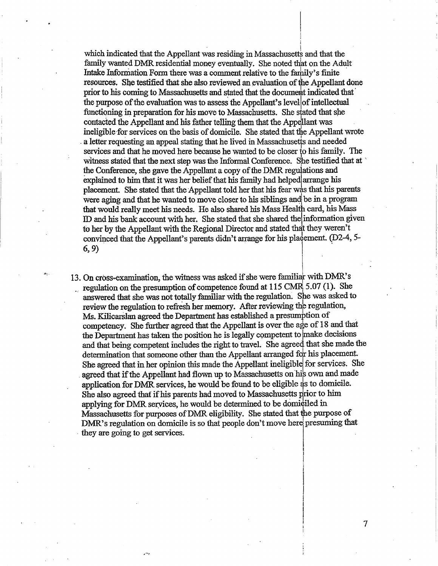which indicated that the Appellant was residing in Massachusetts and that the family wanted DMR residential money eventually. She noted that on the Adult Intake Information Form there was a comment relative to the family's finite resources. She testified that she also reviewed an evaluation of the Appellant done prior to his coming to Massachusetts and stated that the document indicated that the purpose of the evaluation was to assess the Appellant's levellof intellectual functioning in preparation for his move to Massachusetts. She stated that she contacted the Appellant and his father telling them that the Appellant was ineligible for services on the basis of domicile. She stated that the Appellant wrote a letter requesting an appeal stating that he lived in Massachusetts and needed services and that he moved here because he wanted to be closer to his family. The witness stated that the next step was the Informal Conference. She testified that at the Conference, she gave the Appellant a copy of the DMR regulations and explained to him that it was her belief that his family had helped arrange his placement. She stated that the Appellant told her that his fear was that his parents were aging and that he wanted to move closer to his siblings andl be in a program that would really meet his needs. He also shared his Mass Health card, his Mass ID and his bank account with her. She stated that she shared thel information given to her by the Appellant with the Regional Director and stated that they weren't convinced that the Appellant's parents didn't arrange for his placement. (D2-4, 5-6, 9)

13. On cross-examination, the witness was asked if she were familiar with DMR's regulation on the presumption of competence found at 115 CMR 5.07 (1). She answered that she was not totally familiar with the regulation. She was asked to review the regulation to refresh her memory. After reviewing the regulation, Ms. Kilicarslan agreed the Department has established a presumption of competency. She further agreed that the Appellant is over the age of 18 and that the Department has taken the position he is legally competent to 'make decisions and that being competent includes the right to travel. She agreed that she made the determination that someone other than the Appellant arranged for his placement. She agreed that in her opinion this made the Appellant ineligible for services. She agreed that if the Appellant had flown up to Massachusetts on his own and made application for DMR services, he would be found to be eligible as to domicile. She also agreed that if his parents had moved to Massachusetts prior to him applying for DMR services, he would be determined to be domiciled in Massachusetts for purposes of DMR eligibility. She stated that the purpose of DMR's regulation on domicile is so that people don't move here presuming that they are going to get services.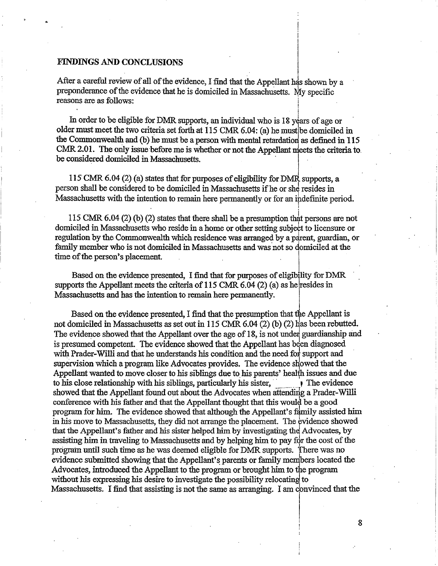#### FINDINGS AND CONCLUSIONS

After a careful review of all of the evidence, I find that the Appellant has shown by a preponderance of the evidence that he is domiciled in Massachusetts. My specific reasons are as follows:

In order to be eligible for DMR supports, an individual who is 18 years of age or older must meet the two criteria set forth at 115 CMR 6.04: (a) he must be domiciled in the Commonwealth and (b) he must be a person with mental retardation as defined in 115 CMR 2.01. The only issue before me is whether or not the Appellant meets the criteria to . be considered domiciled in Massachusetts.

115 CMR 6.04 (2) (a) states that for purposes of eligibility for DMR supports, a person shall be considered to be domiciled in Massachusetts if he or she resides in Massachusetts with the intention to remain here permanently or for an indefmite period.

115 CMR 6.04 (2) (b) (2) states that there shall be a presumption that persons are not domiciled in Massachusetts who reside in a home or other setting subject to licensure or regulation by the Commonwealth which residence was arranged by a parent, guardian, or family member who is not domiciled in Massachusetts and was not so domiciled at the time of the person's placement.

Based on the evidence presented, I find that for purposes of eligibility for DMR supports the Appellant meets the criteria of 115 CMR 6.04 (2) (a) as he resides in Massachusetts and has the intention to remain here permanently.

Based on the evidence presented, I find that the presumption that the Appellant is not domiciled in Massachusetts as set out in 115 CMR 6.04 (2) (b) (2) has been rebutted. The evidence showed that the Appellant over the age of 18, is not under guardianship and is presumed competent. The evidence showed that the Appellant has been diagnosed with Prader-Willi and that he understands his condition and the need for support and supervision which a program like Advocates provides. The evidence showed that the Appellant wanted to move closer to his siblings due to his parents' health issues and due to his close relationship with his siblings, particularly his sister,  $\qquad \qquad \qquad$  The evidence showed that the Appellant found out about the Advocates when attending a Prader-Willi conference with his father and that the Appellant thought that this would be a good program for him. The evidence showed that although the Appellant's family assisted him in his move to Massachusetts, they did not arrange the placement. The 'vidence showed that the Appellant's father and his sister helped him by investigating the Advocates, by assisting him in traveling to Massachusetts and by helping him to pay for the cost of the program until such time as he was deemed eligible for DMR supports. There was no evidence submitted showing that the Appellant's parents or family members located the Advocates, introduced the Appellant to the program or brought him to the program without his expressing his desire to investigate the possibility relocating to Massachusetts. I find that assisting is not the same as arranging. I am convinced that the